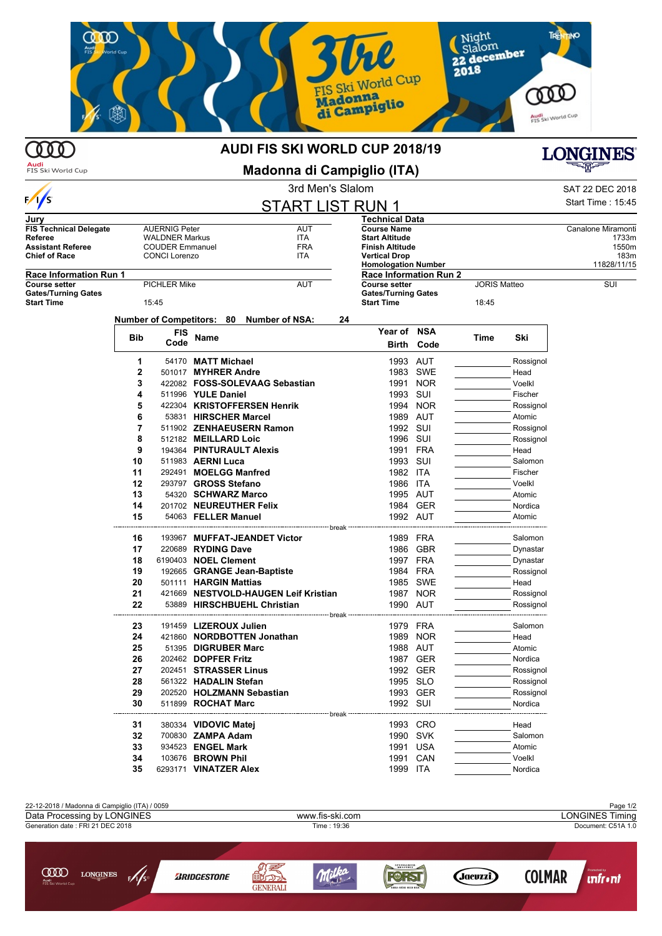

## AUDI FIS SKI WORLD CUP 2018/19

**Audi**<br>FIS Ski World Cup

Madonna di Campiglio (ITA)



## 3rd Men's Slalom SAT 22 DEC 2018  $S$

|                                                 |       |                        |                          |                                          | <b>JU IVICITS OIAIUITI</b>                      |                                                    |            |                     |           | OAT ZZ DEU ZUTO     |
|-------------------------------------------------|-------|------------------------|--------------------------|------------------------------------------|-------------------------------------------------|----------------------------------------------------|------------|---------------------|-----------|---------------------|
| $\frac{1}{s}$                                   |       |                        |                          |                                          | <b>START LIST RUN 1</b>                         |                                                    |            |                     |           | Start Time: 15:45   |
| Jurv                                            |       |                        |                          |                                          |                                                 | <b>Technical Data</b>                              |            |                     |           |                     |
| <b>FIS Technical Delegate</b>                   |       | <b>AUERNIG Peter</b>   |                          |                                          | AUT                                             | <b>Course Name</b>                                 |            |                     |           | Canalone Miramonti  |
| Referee                                         |       | <b>WALDNER Markus</b>  |                          | ITA                                      |                                                 | <b>Start Altitude</b>                              |            |                     |           | 1733m               |
| <b>Assistant Referee</b>                        |       | <b>COUDER Emmanuel</b> |                          |                                          | <b>FRA</b>                                      | <b>Finish Altitude</b>                             |            |                     |           | 1550m               |
| <b>Chief of Race</b>                            |       | <b>CONCI Lorenzo</b>   |                          | ITA                                      |                                                 | <b>Vertical Drop</b><br><b>Homologation Number</b> |            |                     |           | 183m<br>11828/11/15 |
| <b>Race Information Run 1</b>                   |       |                        |                          |                                          |                                                 | <b>Race Information Run 2</b>                      |            |                     |           |                     |
| <b>Course setter</b>                            |       | <b>PICHLER Mike</b>    |                          |                                          | AUT                                             | <b>Course setter</b>                               |            | <b>JORIS Matteo</b> |           | SUI                 |
| <b>Gates/Turning Gates</b><br><b>Start Time</b> | 15:45 |                        |                          |                                          | <b>Gates/Turning Gates</b><br><b>Start Time</b> |                                                    | 18:45      |                     |           |                     |
|                                                 |       |                        |                          | Number of Competitors: 80 Number of NSA: | 24                                              |                                                    |            |                     |           |                     |
|                                                 |       | FIS                    |                          |                                          |                                                 | Year of NSA                                        |            |                     |           |                     |
|                                                 | Bib   | Code                   | Name                     |                                          |                                                 | Birth                                              | Code       | Time                | Ski       |                     |
|                                                 |       |                        |                          |                                          |                                                 |                                                    |            |                     |           |                     |
|                                                 | 1     |                        | 54170 MATT Michael       |                                          |                                                 | 1993 AUT                                           |            |                     | Rossignol |                     |
|                                                 | 2     |                        | 501017 MYHRER Andre      |                                          |                                                 |                                                    | 1983 SWE   |                     | Head      |                     |
|                                                 | 3     |                        |                          | 422082 FOSS-SOLEVAAG Sebastian           |                                                 | 1991                                               | <b>NOR</b> |                     | Voelkl    |                     |
|                                                 | 4     |                        | 511996 YULE Daniel       |                                          |                                                 | 1993                                               | SUI        |                     | Fischer   |                     |
|                                                 | 5     |                        |                          | 422304 KRISTOFFERSEN Henrik              |                                                 | 1994                                               | <b>NOR</b> |                     | Rossignol |                     |
|                                                 | 6     |                        | 53831 HIRSCHER Marcel    |                                          |                                                 | 1989 AUT                                           |            |                     | Atomic    |                     |
|                                                 | 7     |                        |                          | 511902 ZENHAEUSERN Ramon                 |                                                 | 1992                                               | SUI        |                     | Rossignol |                     |
|                                                 | 8     |                        | 512182 MEILLARD Loic     |                                          |                                                 | 1996 SUI                                           |            |                     | Rossignol |                     |
|                                                 | 9     |                        | 194364 PINTURAULT Alexis |                                          |                                                 | 1991                                               | FRA        |                     | Head      |                     |
|                                                 | 10    |                        | 511983 AERNI Luca        |                                          |                                                 | 1993 SUI                                           |            |                     | Salomon   |                     |
|                                                 | 11    |                        | 292491 MOELGG Manfred    |                                          |                                                 | 1982 ITA                                           |            |                     | Fischer   |                     |
|                                                 | 12    |                        | 293797 GROSS Stefano     |                                          |                                                 | 1986 ITA                                           |            |                     | Voelkl    |                     |
|                                                 | 13    |                        | 54320 SCHWARZ Marco      |                                          |                                                 | 1995 AUT                                           |            |                     | Atomic    |                     |
|                                                 | 14    |                        | 201702 NEUREUTHER Felix  |                                          |                                                 |                                                    | 1984 GER   |                     | Nordica   |                     |
|                                                 | 15    |                        | 54063 FELLER Manuel      |                                          |                                                 | 1992 AUT                                           |            |                     | Atomic    |                     |
|                                                 | 16    |                        |                          | 193967 MUFFAT-JEANDET Victor             |                                                 | 1989 FRA                                           |            |                     | Salomon   |                     |
|                                                 | 17    |                        | 220689 RYDING Dave       |                                          |                                                 |                                                    | 1986 GBR   |                     | Dynastar  |                     |
|                                                 | 18    |                        | 6190403 NOEL Clement     |                                          |                                                 | 1997 FRA                                           |            |                     | Dynastar  |                     |
|                                                 | 19    |                        |                          | 192665 GRANGE Jean-Baptiste              |                                                 | 1984 FRA                                           |            |                     | Rossignol |                     |
|                                                 | 20    |                        | 501111 HARGIN Mattias    |                                          |                                                 |                                                    | 1985 SWE   |                     | Head      |                     |
|                                                 | 21    |                        |                          | 421669 NESTVOLD-HAUGEN Leif Kristian     |                                                 |                                                    | 1987 NOR   |                     | Rossignol |                     |
|                                                 | 22    |                        |                          | 53889 HIRSCHBUEHL Christian              |                                                 | 1990 AUT                                           |            |                     | Rossignol |                     |
|                                                 | 23    |                        | 191459 LIZEROUX Julien   |                                          |                                                 | 1979 FRA                                           |            |                     | Salomon   |                     |
|                                                 | 24    |                        |                          | 421860 NORDBOTTEN Jonathan               |                                                 |                                                    | 1989 NOR   |                     | Head      |                     |
|                                                 | 25    |                        | 51395 DIGRUBER Marc      |                                          |                                                 | 1988 AUT                                           |            |                     | Atomic    |                     |
|                                                 | 26    |                        | 202462 DOPFER Fritz      |                                          |                                                 |                                                    | 1987 GER   |                     | Nordica   |                     |
|                                                 | 27    |                        | 202451 STRASSER Linus    |                                          |                                                 |                                                    | 1992 GER   |                     | Rossignol |                     |
|                                                 | 28    |                        | 561322 HADALIN Stefan    |                                          |                                                 | 1995 SLO                                           |            |                     | Rossignol |                     |
|                                                 | 29    |                        |                          | 202520 HOLZMANN Sebastian                |                                                 |                                                    | 1993 GER   |                     | Rossignol |                     |
|                                                 | 30    |                        | 511899 ROCHAT Marc       |                                          |                                                 | 1992 SUI                                           |            |                     | Nordica   |                     |
|                                                 |       |                        |                          |                                          | break                                           |                                                    |            |                     |           |                     |
|                                                 | 31    |                        | 380334 VIDOVIC Matej     |                                          |                                                 |                                                    | 1993 CRO   |                     | Head      |                     |
|                                                 | 32    |                        | 700830 ZAMPA Adam        |                                          |                                                 | 1990 SVK                                           |            |                     | Salomon   |                     |
|                                                 | 33    |                        | 934523 ENGEL Mark        |                                          |                                                 | 1991 USA                                           |            |                     | Atomic    |                     |
|                                                 | 34    |                        | 103676 BROWN Phil        |                                          |                                                 |                                                    | 1991 CAN   |                     | Voelkl    |                     |
|                                                 | 35    |                        | 6293171 VINATZER Alex    |                                          |                                                 | 1999 ITA                                           |            |                     | Nordica   |                     |